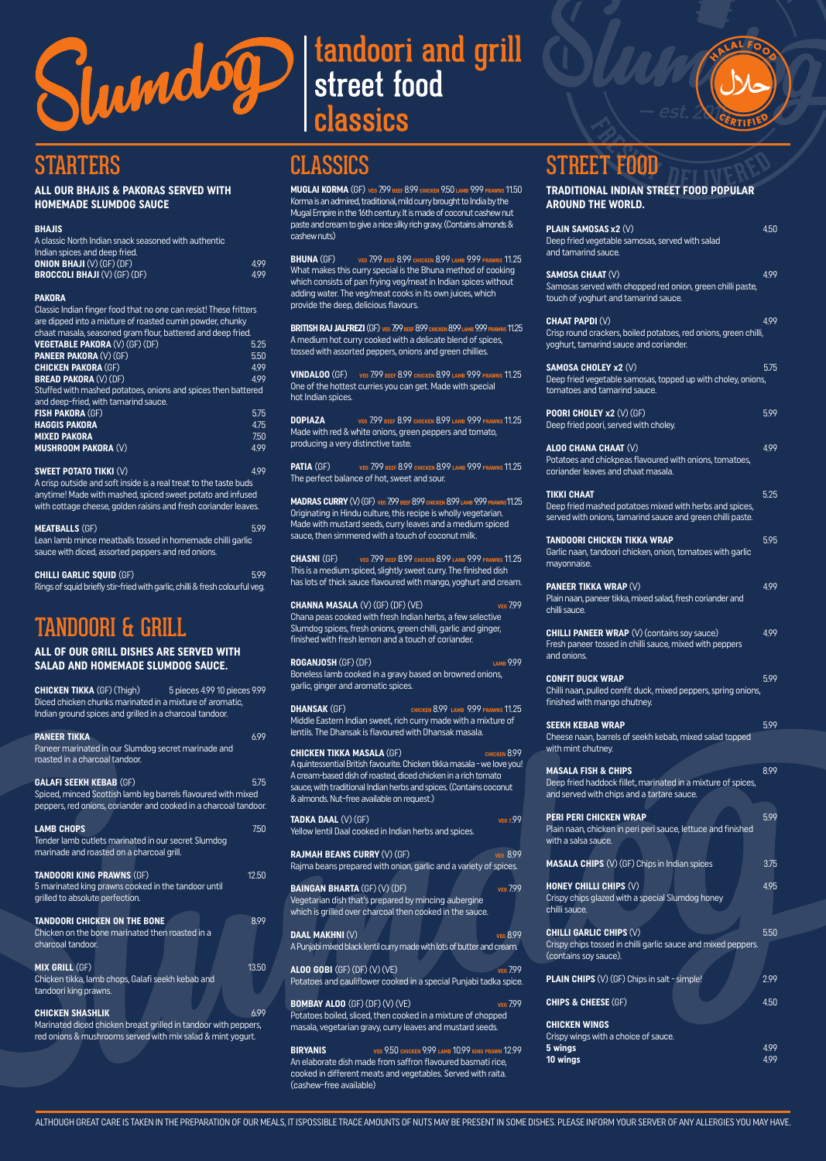

# classics



## **STARTERS**

## **ALL OUR BHAJIS & PAKORAS SERVED WITH**

| A classic North Indian snack seasoned with authentic |      |
|------------------------------------------------------|------|
| Indian spices and deep fried.                        |      |
| <b>ONION BHAJI</b> $(V)$ (GF) (DF)                   | 499  |
| <b>BROCCOLI BHAJI (V) (GF) (DF)</b>                  | 4.99 |
|                                                      |      |

## **PAKORA**

**SWEET POTATO TIKKI** (V)<br>A crisp outside and soft inside is a real treat to the taste buds anytime! Made with mashed, spiced sweet potato and infused with cottage cheese, golden raisins and fresh coriander leaves.

| Classic Indian finger food that no one can resist! These fritters<br>are dipped into a mixture of roasted cumin powder, chunky<br>chaat masala, seasoned gram flour, battered and deep fried. |            |
|-----------------------------------------------------------------------------------------------------------------------------------------------------------------------------------------------|------------|
| <b>VEGETABLE PAKORA (V) (GF) (DF)</b>                                                                                                                                                         | 5.25       |
| <b>PANEER PAKORA (V) (GF)</b>                                                                                                                                                                 | 5.50       |
| <b>CHICKEN PAKORA (GF)</b>                                                                                                                                                                    | 499        |
| <b>BREAD PAKORA (V) (DF)</b>                                                                                                                                                                  | 499        |
| Stuffed with mashed potatoes, onions and spices then battered                                                                                                                                 |            |
| and deep-fried, with tamarind sauce.                                                                                                                                                          |            |
| <b>FISH PAKORA (GF)</b>                                                                                                                                                                       | 5.75       |
| <b>HAGGIS PAKORA</b>                                                                                                                                                                          | 4.75       |
| <b>MIXED PAKORA</b>                                                                                                                                                                           | 7.50       |
| <b>MUSHROOM PAKORA (V)</b>                                                                                                                                                                    | 499        |
| $\alpha$ uleet batita tulu $\land$ $\land$                                                                                                                                                    | $\sqrt{2}$ |

| <b>MEATBALLS (GF)</b>                                      | 5.99 |
|------------------------------------------------------------|------|
| Lean lamb mince meatballs tossed in homemade chilli garlic |      |
| sauce with diced, assorted peppers and red onions.         |      |

**CHILLI GARLIC SQUID** (GF)<br>Rings of squid briefly stir-fried with garlic, chilli & fresh colourful veg.

**TANDOORI CHICKEN ON THE BONE 8.99** Chicken on the bone marinated then roasted in a charcoal tandoor.

**MUGLAI KORMA** (GF) **VEG** 7.99 **BEEF** 8.99 **CHICKEN** 9.50 **LAMB** 9.99 **PRAWNS** 11.50 Korma is an admired, traditional, mild curry brought to India by the Mugal Empire in the 16th century. It is made of coconut cashew nut paste and cream to give a nice silky rich gravy. (Contains almonds & cashew nuts)

# tandoori & grill

## ALL OF OUR GRILL DISHES ARE SERVED WITH **SALAD AND HOMEMADE SLUMDOG SAUCE.**

| <b>CHICKEN TIKKA (GF) (Thigh)</b><br>Diced chicken chunks marinated in a mixture of aromatic,<br>Indian ground spices and grilled in a charcoal tandoor. | 5 pieces 4.99 10 pieces 9.99 |
|----------------------------------------------------------------------------------------------------------------------------------------------------------|------------------------------|
| <b>PANEER TIKKA</b>                                                                                                                                      | 699                          |
| Paneer marinated in our Slumdog secret marinade and<br>roasted in a charcoal tandoor.                                                                    |                              |
| <b>GALAFI SEEKH KEBAB (GF)</b>                                                                                                                           | 5.75                         |
| Spiced, minced Scottish lamb leg barrels flavoured with mixed<br>peppers, red onions, coriander and cooked in a charcoal tandoor.                        |                              |

**LAMB CHOPS** 7.50 Tender lamb cutlets marinated in our secret Slumdog marinade and roasted on a charcoal grill.

## **TANDOORI KING PRAWNS** (GF) 12.50 5 marinated king prawns cooked in the tandoor until grilled to absolute perfection.

**CHANNA MASALA** (V) (GF) (DF) (VE)<br>Chana peas cooked with fresh Indian herbs, a few selective Slumdog spices, fresh onions, green chilli, garlic and ginger, finished with fresh lemon and a touch of coriander.

**MIX GRILL** (GF) 13.50 Chicken tikka, lamb chops, Galafi seekh kebab and tandoori king prawns.

**CHICKEN SHASHLIK** 6.99 Marinated diced chicken breast grilled in tandoor with peppers, red onions & mushrooms served with mix salad & mint yogurt.

# classics

**BHUNA** (GF) **VEG** 7.99 **BEEF** 8.99 **CHICKEN** 8.99 **LAMB** 9.99 **PRAWNS** 11.25 What makes this curry special is the Bhuna method of cooking which consists of pan frying veg/meat in Indian spices without adding water. The veg/meat cooks in its own juices, which provide the deep, delicious flavours.

**BRITISH RAJ JALFREZI** (GF) **VEG** 7.99 **BEEF** 8.99 **CHICKEN** 8.99 **LAMB** 9.99 **PRAWNS** 11.25 A medium hot curry cooked with a delicate blend of spices, tossed with assorted peppers, onions and green chillies.

**VINDALOO** (GF) **VEG** 7.99 **BEEF** 8.99 **CHICKEN** 8.99 **LAMB** 9.99 **PRAWNS** 11.25 One of the hottest curries you can get. Made with special hot Indian spices.

**DOPIAZA VEG** 7.99 **BEEF** 8.99 **CHICKEN** 8.99 **LAMB** 9.99 **PRAWNS** 11.25 Made with red & white onions, green peppers and tomato, producing a very distinctive taste.

**PATIA** (GF) **VEG** 7.99 **BEEF** 8.99 **CHICKEN** 8.99 **LAMB** 9.99 **PRAWNS** 11.25 The perfect balance of hot, sweet and sour.

**MADRAS CURRY** (V) (GF) **VEG** 7.99 **BEEF** 8.99 **CHICKEN** 8.99 **LAMB** 9.99 **PRAWNS**11.25 Originating in Hindu culture, this recipe is wholly vegetarian. Made with mustard seeds, curry leaves and a medium spiced sauce, then simmered with a touch of coconut milk.

**CHASNI** (GF) **VEG** 7.99 **BEEF** 8.99 **CHICKEN** 8.99 **LAMB** 9.99 **PRAWNS** 11.25 This is a medium spiced, slightly sweet curry. The finished dish has lots of thick sauce flavoured with mango, yoghurt and cream.

**ROGANJOSH** (GF) (DF) **LAMB** 9.99 Boneless lamb cooked in a gravy based on browned onions, garlic, ginger and aromatic spices.

**DHANSAK** (GF) **CHICKEN** 8.99 **LAMB** 9.99 **PRAWNS** 11.25 Middle Eastern Indian sweet, rich curry made with a mixture of lentils. The Dhansak is flavoured with Dhansak masala.

**CHICKEN TIKKA MASALA** (GF) **CHICKEN** 8.99 A quintessential British favourite. Chicken tikka masala - we love you! A cream-based dish of roasted, diced chicken in a rich tomato sauce, with traditional Indian herbs and spices. (Contains coconut & almonds. Nut-free available on request.)

**TADKA DAAL** (V) (GF)<br>Yellow lentil Daal cooked in Indian herbs and spices.

**RAJMAH BEANS CURRY** (V) (GF) **Julies 2.99 MBAJMAH BEANS CURRY** (V) (GF) **Reform** a beans prepared with onion, garlic and a variety of spices.

**BAINGAN BHARTA** (GF) (V) (DF) **VEG** 7.99 Vegetarian dish that's prepared by mincing aubergine which is grilled over charcoal then cooked in the sauce.

**DAAL MAKHNI** (V) **VEG** 8.99 A Punjabi mixed black lentil curry made with lots of butter and cream.

**ALOO GOBI** (GF) (DF) (V) (VE) **VEG** 7.99 Potatoes and cauliflower cooked in a special Punjabi tadka spice.

**BOMBAY ALOO** (GF) (DF) (V) (VE) **VEG** 7.99 Potatoes boiled, sliced, then cooked in a mixture of chopped masala, vegetarian gravy, curry leaves and mustard seeds.

**BIRYANIS VEG** 9.50 **CHICKEN** 9.99 **LAMB** 10.99 **KING PRAWN** 12.99 An elaborate dish made from saffron flavoured basmati rice, cooked in different meats and vegetables. Served with raita. (cashew-free available)

# street food

| <b>AROUND THE WORLD.</b>                                                                                                                     |      |
|----------------------------------------------------------------------------------------------------------------------------------------------|------|
| <b>PLAIN SAMOSAS x2 (V)</b><br>Deep fried vegetable samosas, served with salad<br>and tamarind sauce.                                        | 4.50 |
| <b>SAMOSA CHAAT (V)</b><br>Samosas served with chopped red onion, green chilli paste,<br>touch of yoghurt and tamarind sauce.                | 4.99 |
| <b>CHAAT PAPDI (V)</b><br>Crisp round crackers, boiled potatoes, red onions, green chilli,<br>yoghurt, tamarind sauce and coriander.         | 499  |
| <b>SAMOSA CHOLEY x2 (V)</b><br>Deep fried vegetable samosas, topped up with choley, onions,<br>tomatoes and tamarind sauce.                  | 5.75 |
| POORI CHOLEY x2 (V) (GF)<br>Deep fried poori, served with choley.                                                                            | 599  |
| <b>ALOO CHANA CHAAT (V)</b><br>Potatoes and chickpeas flavoured with onions, tomatoes,<br>coriander leaves and chaat masala.                 | 4.99 |
| <b>TIKKI CHAAT</b><br>Deep fried mashed potatoes mixed with herbs and spices,<br>served with onions, tamarind sauce and green chilli paste.  | 5.25 |
| <b>TANDOORI CHICKEN TIKKA WRAP</b><br>Garlic naan, tandoori chicken, onion, tomatoes with garlic<br>mayonnaise.                              | 5.95 |
| <b>PANEER TIKKA WRAP (V)</b><br>Plain naan, paneer tikka, mixed salad, fresh coriander and<br>chilli sauce.                                  | 4.99 |
| <b>CHILLI PANEER WRAP</b> (V) (contains soy sauce)<br>Fresh paneer tossed in chilli sauce, mixed with peppers<br>and onions.                 | 4.99 |
| <b>CONFIT DUCK WRAP</b><br>Chilli naan, pulled confit duck, mixed peppers, spring onions,<br>finished with mango chutney.                    | 5.99 |
| <b>SEEKH KEBAB WRAP</b><br>Cheese naan, barrels of seekh kebab, mixed salad topped<br>with mint chutney.                                     | 5.99 |
| <b>MASALA FISH &amp; CHIPS</b><br>Deep fried haddock fillet, marinated in a mixture of spices,<br>and served with chips and a tartare sauce. | 8.99 |
| <b>PERI PERI CHICKEN WRAP</b><br>Plain naan, chicken in peri peri sauce, lettuce and finished                                                | 5.99 |

with a salsa sauce.

ALTHOUGH GREAT CARE IS TAKEN IN THE PREPARATION OF OUR MEALS, IT ISPOSSIBLE TRACE AMOUNTS OF NUTS MAY BE PRESENT IN SOME DISHES. PLEASE INFORM YOUR SERVER OF ANY ALLERGIES YOU MAY HAVE.

| <b>MASALA CHIPS</b> (V) (GF) Chips in Indian spices                                                                      | 3.75       |
|--------------------------------------------------------------------------------------------------------------------------|------------|
| <b>HONEY CHILLI CHIPS (V)</b><br>Crispy chips glazed with a special Slumdog honey<br>chilli sau <u>ce.</u>               | 4.95       |
| <b>CHILLI GARLIC CHIPS (V)</b><br>Crispy chips tossed in chilli garlic sauce and mixed peppers.<br>(contains soy sauce). | 5.50       |
| <b>PLAIN CHIPS (V) (GF) Chips in salt - simple!</b>                                                                      | 2.99       |
| <b>CHIPS &amp; CHEESE (GF)</b>                                                                                           | 4.50       |
| <b>CHICKEN WINGS</b><br>Crispy wings with a choice of sauce.<br>5 wings<br>10 wings                                      | 499<br>499 |